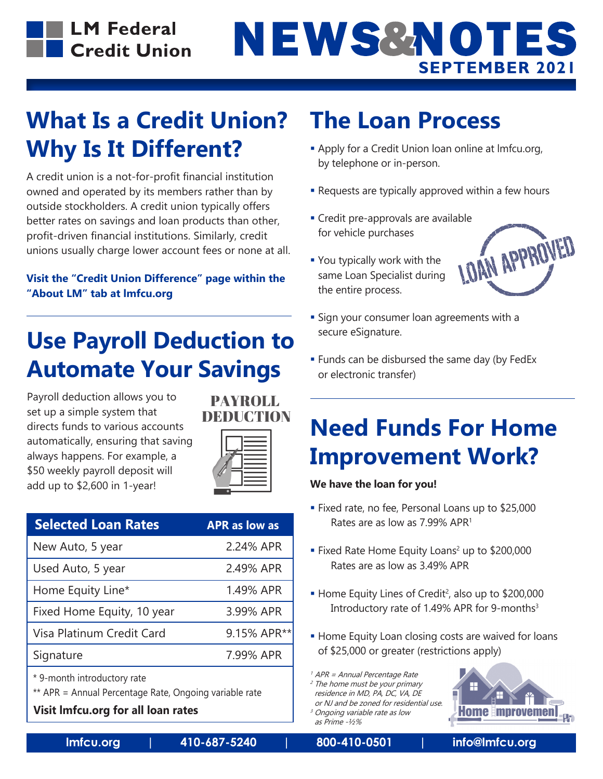**LM Federal** Credit Union

# NEWS&NOTES **SEPTEMBER 2021**

### **What Is a Credit Union? Why Is It Different?**

A credit union is a not-for-profit financial institution owned and operated by its members rather than by outside stockholders. A credit union typically offers better rates on savings and loan products than other, profit-driven financial institutions. Similarly, credit unions usually charge lower account fees or none at all.

#### **Visit the "Credit Union Difference" page within the "About LM" tab at lmfcu.org**

### **Use Payroll Deduction to Automate Your Savings**

Payroll deduction allows you to set up a simple system that directs funds to various accounts automatically, ensuring that saving always happens. For example, a \$50 weekly payroll deposit will add up to \$2,600 in 1-year!





| <b>Selected Loan Rates</b> | <b>APR as low as</b> |
|----------------------------|----------------------|
| New Auto, 5 year           | 2.24% APR            |
| Used Auto, 5 year          | 2.49% APR            |
| Home Equity Line*          | 1.49% APR            |
| Fixed Home Equity, 10 year | 3.99% APR            |
| Visa Platinum Credit Card  | 9.15% APR**          |
| Signature                  | 7.99% APR            |
|                            |                      |

\* 9-month introductory rate

\*\* APR = Annual Percentage Rate, Ongoing variable rate

#### **Visit lmfcu.org for all loan rates**

### **The Loan Process**

- **Apply for a Credit Union loan online at Imfcu.org,** by telephone or in-person.
- **-** Requests are typically approved within a few hours
- for vehicle purchases
- You typically work with the same Loan Specialist during the entire process.



- **Sign your consumer loan agreements with a** secure eSignature.
- **Funds can be disbursed the same day (by FedEx** or electronic transfer)

### **Need Funds For Home Improvement Work?**

#### **We have the loan for you!**

- Fixed rate, no fee, Personal Loans up to \$25,000 Rates are as low as 7.99% APR1
- Fixed Rate Home Equity Loans<sup>2</sup> up to \$200,000 Rates are as low as 3.49% APR
- Home Equity Lines of Credit<sup>2</sup>, also up to \$200,000 Introductory rate of 1.49% APR for 9-months<sup>3</sup>
- **Home Equity Loan closing costs are waived for loans** of \$25,000 or greater (restrictions apply)

 $<sup>1</sup>$  APR = Annual Percentage Rate</sup>

- <sup>2</sup> The home must be your primary residence in MD, PA, DC, VA, DE
- or NJ and be zoned for residential use. <sup>3</sup> Ongoing variable rate as low



as Prime -½%